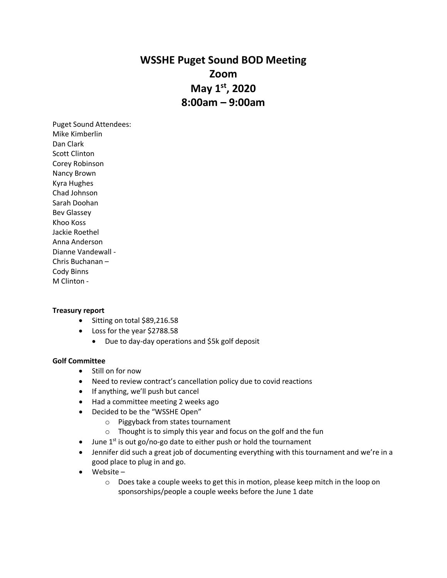# **WSSHE Puget Sound BOD Meeting Zoom May 1st, 2020 8:00am – 9:00am**

Puget Sound Attendees: Mike Kimberlin Dan Clark Scott Clinton Corey Robinson Nancy Brown Kyra Hughes Chad Johnson Sarah Doohan Bev Glassey Khoo Koss Jackie Roethel Anna Anderson Dianne Vandewall - Chris Buchanan – Cody Binns M Clinton -

## **Treasury report**

- Sitting on total \$89,216.58
- Loss for the year \$2788.58
	- Due to day-day operations and \$5k golf deposit

#### **Golf Committee**

- Still on for now
- Need to review contract's cancellation policy due to covid reactions
- If anything, we'll push but cancel
- Had a committee meeting 2 weeks ago
- Decided to be the "WSSHE Open"
	- o Piggyback from states tournament
	- o Thought is to simply this year and focus on the golf and the fun
- June  $1^{st}$  is out go/no-go date to either push or hold the tournament
- Jennifer did such a great job of documenting everything with this tournament and we're in a good place to plug in and go.
- Website
	- $\circ$  Does take a couple weeks to get this in motion, please keep mitch in the loop on sponsorships/people a couple weeks before the June 1 date